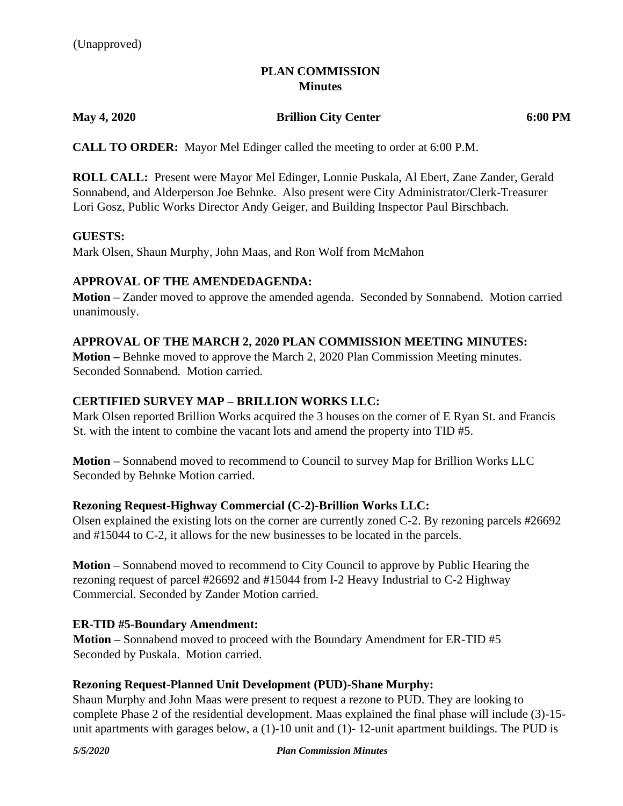## **PLAN COMMISSION Minutes**

#### **May 4, 2020 Brillion City Center 6:00 PM**

**CALL TO ORDER:** Mayor Mel Edinger called the meeting to order at 6:00 P.M.

**ROLL CALL:** Present were Mayor Mel Edinger, Lonnie Puskala, Al Ebert, Zane Zander, Gerald Sonnabend, and Alderperson Joe Behnke. Also present were City Administrator/Clerk-Treasurer Lori Gosz, Public Works Director Andy Geiger, and Building Inspector Paul Birschbach.

#### **GUESTS:**

Mark Olsen, Shaun Murphy, John Maas, and Ron Wolf from McMahon

## **APPROVAL OF THE AMENDEDAGENDA:**

**Motion –** Zander moved to approve the amended agenda. Seconded by Sonnabend. Motion carried unanimously.

#### **APPROVAL OF THE MARCH 2, 2020 PLAN COMMISSION MEETING MINUTES:**

**Motion –** Behnke moved to approve the March 2, 2020 Plan Commission Meeting minutes. Seconded Sonnabend. Motion carried.

## **CERTIFIED SURVEY MAP – BRILLION WORKS LLC:**

Mark Olsen reported Brillion Works acquired the 3 houses on the corner of E Ryan St. and Francis St. with the intent to combine the vacant lots and amend the property into TID #5.

**Motion –** Sonnabend moved to recommend to Council to survey Map for Brillion Works LLC Seconded by Behnke Motion carried.

#### **Rezoning Request-Highway Commercial (C-2)-Brillion Works LLC:**

Olsen explained the existing lots on the corner are currently zoned C-2. By rezoning parcels #26692 and #15044 to C-2, it allows for the new businesses to be located in the parcels.

**Motion –** Sonnabend moved to recommend to City Council to approve by Public Hearing the rezoning request of parcel #26692 and #15044 from I-2 Heavy Industrial to C-2 Highway Commercial. Seconded by Zander Motion carried.

#### **ER-TID #5-Boundary Amendment:**

**Motion –** Sonnabend moved to proceed with the Boundary Amendment for ER-TID #5 Seconded by Puskala. Motion carried.

#### **Rezoning Request-Planned Unit Development (PUD)-Shane Murphy:**

Shaun Murphy and John Maas were present to request a rezone to PUD. They are looking to complete Phase 2 of the residential development. Maas explained the final phase will include (3)-15 unit apartments with garages below, a (1)-10 unit and (1)- 12-unit apartment buildings. The PUD is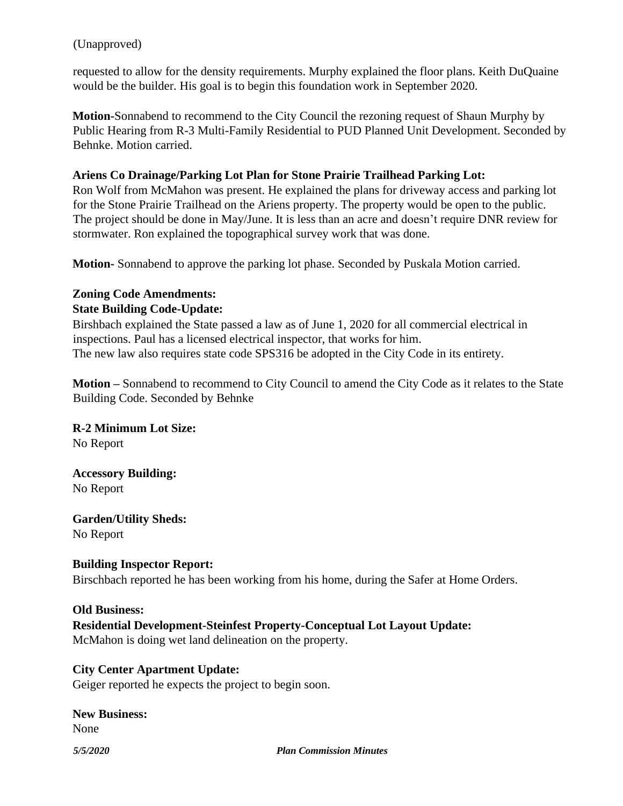## (Unapproved)

requested to allow for the density requirements. Murphy explained the floor plans. Keith DuQuaine would be the builder. His goal is to begin this foundation work in September 2020.

**Motion-**Sonnabend to recommend to the City Council the rezoning request of Shaun Murphy by Public Hearing from R-3 Multi-Family Residential to PUD Planned Unit Development. Seconded by Behnke. Motion carried.

## **Ariens Co Drainage/Parking Lot Plan for Stone Prairie Trailhead Parking Lot:**

Ron Wolf from McMahon was present. He explained the plans for driveway access and parking lot for the Stone Prairie Trailhead on the Ariens property. The property would be open to the public. The project should be done in May/June. It is less than an acre and doesn't require DNR review for stormwater. Ron explained the topographical survey work that was done.

**Motion-** Sonnabend to approve the parking lot phase. Seconded by Puskala Motion carried.

## **Zoning Code Amendments:**

## **State Building Code-Update:**

Birshbach explained the State passed a law as of June 1, 2020 for all commercial electrical in inspections. Paul has a licensed electrical inspector, that works for him. The new law also requires state code SPS316 be adopted in the City Code in its entirety.

**Motion –** Sonnabend to recommend to City Council to amend the City Code as it relates to the State Building Code. Seconded by Behnke

# **R-2 Minimum Lot Size:**

No Report

## **Accessory Building:** No Report

**Garden/Utility Sheds:** No Report

**Building Inspector Report:** Birschbach reported he has been working from his home, during the Safer at Home Orders.

#### **Old Business:**

## **Residential Development-Steinfest Property-Conceptual Lot Layout Update:** McMahon is doing wet land delineation on the property.

**City Center Apartment Update:** Geiger reported he expects the project to begin soon.

**New Business:** None